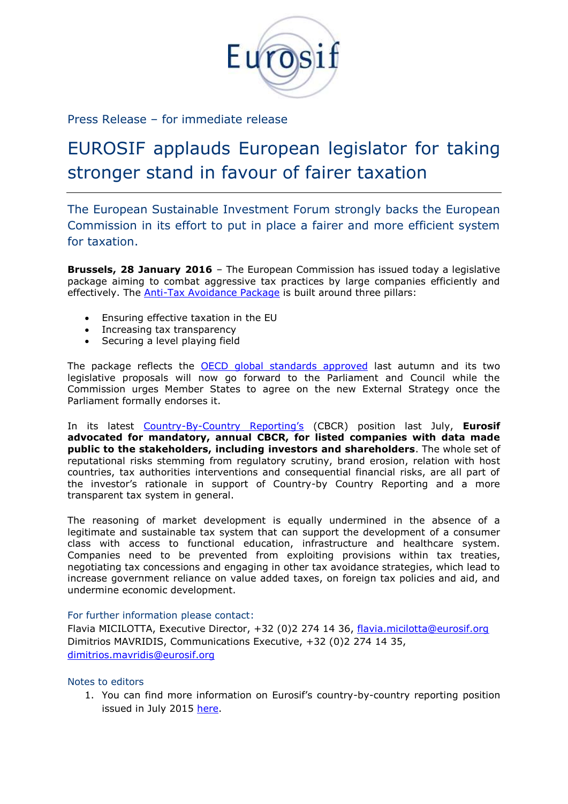

Press Release – for immediate release

## EUROSIF applauds European legislator for taking stronger stand in favour of fairer taxation

The European Sustainable Investment Forum strongly backs the European Commission in its effort to put in place a fairer and more efficient system for taxation.

**Brussels, 28 January 2016** – The European Commission has issued today a legislative package aiming to combat aggressive tax practices by large companies efficiently and effectively. The [Anti-Tax Avoidance Package](http://ec.europa.eu/taxation_customs/taxation/company_tax/anti_tax_avoidance/index_en.htm) is built around three pillars:

- Ensuring effective taxation in the EU
- Increasing tax transparency
- Securing a level playing field

The package reflects the **OECD** global standards approved last autumn and its two legislative proposals will now go forward to the Parliament and Council while the Commission urges Member States to agree on the new External Strategy once the Parliament formally endorses it.

In its latest Country-By-[Country Reporting's](http://bit.ly/1Sle4zB) (CBCR) position last July, **Eurosif advocated for mandatory, annual CBCR, for listed companies with data made public to the stakeholders, including investors and shareholders**. The whole set of reputational risks stemming from regulatory scrutiny, brand erosion, relation with host countries, tax authorities interventions and consequential financial risks, are all part of the investor's rationale in support of Country-by Country Reporting and a more transparent tax system in general.

The reasoning of market development is equally undermined in the absence of a legitimate and sustainable tax system that can support the development of a consumer class with access to functional education, infrastructure and healthcare system. Companies need to be prevented from exploiting provisions within tax treaties, negotiating tax concessions and engaging in other tax avoidance strategies, which lead to increase government reliance on value added taxes, on foreign tax policies and aid, and undermine economic development.

## For further information please contact:

Flavia MICILOTTA, Executive Director, +32 (0)2 274 14 36, [flavia.micilotta@eurosif.org](mailto:flavia.micilotta@eurosif.org) Dimitrios MAVRIDIS, Communications Executive, +32 (0)2 274 14 35, [dimitrios.mavridis@eurosif.org](mailto:dimitrios.mavridis@eurosif.org)

## Notes to editors

1. You can find more information on Eurosif's country-by-country reporting position issued in July 2015 [here.](http://bit.ly/1Sle4zB)